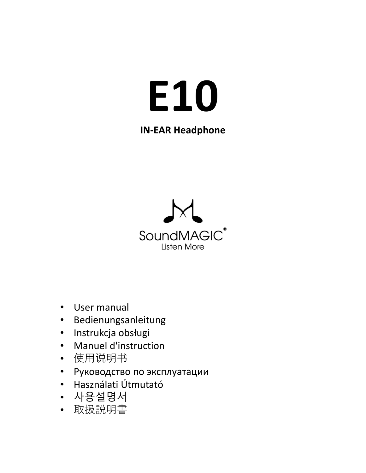# **E10**

## **IN-EAR Headphone**



- User manual
- Bedienungsanleitung
- Instrukcja obsługi
- Manuel d'instruction
- 使用说明书
- Руководство по эксплуатации
- Használati Útmutató
- 사용설명서
- 取扱説明書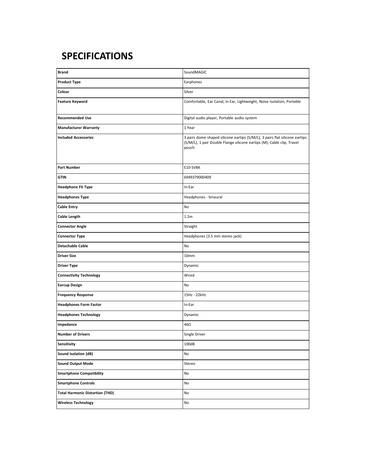#### **SPECIFICATIONS**

| <b>Brand</b>                           | SoundMAGIC                                                                                                                                                     |
|----------------------------------------|----------------------------------------------------------------------------------------------------------------------------------------------------------------|
|                                        |                                                                                                                                                                |
| <b>Product Type</b>                    | Earphones                                                                                                                                                      |
| Colour                                 | Silver                                                                                                                                                         |
| <b>Feature Keyword</b>                 | Comfortable, Ear Canal, In Ear, Lightweight, Noise Isolation, Portable                                                                                         |
| <b>Recommended Use</b>                 | Digital audio player, Portable audio system                                                                                                                    |
| <b>Manufacturer Warranty</b>           | 1 Year                                                                                                                                                         |
| <b>Included Accessories</b>            | 3 pairs dome shaped silicone eartips (S/M/L), 3 pairs flat silicone eartips<br>(S/M/L), 1 pair Double Flange silicone eartips (M), Cable clip, Travel<br>pouch |
| <b>Part Number</b>                     | E10-SVBK                                                                                                                                                       |
| <b>GTIN</b>                            | 6949379000409                                                                                                                                                  |
| <b>Headphone Fit Type</b>              | In-Ear                                                                                                                                                         |
| <b>Headphones Type</b>                 | Headphones - binaural                                                                                                                                          |
| <b>Cable Entry</b>                     | No                                                                                                                                                             |
| <b>Cable Length</b>                    | 1.2 <sub>m</sub>                                                                                                                                               |
| <b>Connector Angle</b>                 | Straight                                                                                                                                                       |
| <b>Connector Type</b>                  | Headphones (3.5 mm stereo jack)                                                                                                                                |
| <b>Detachable Cable</b>                | No                                                                                                                                                             |
| <b>Driver Size</b>                     | 10mm                                                                                                                                                           |
| <b>Driver Type</b>                     | Dynamic                                                                                                                                                        |
| <b>Connectivity Technology</b>         | Wired                                                                                                                                                          |
| <b>Earcup Design</b>                   | No                                                                                                                                                             |
| <b>Frequency Response</b>              | 15Hz - 22kHz                                                                                                                                                   |
| <b>Headphones Form Factor</b>          | In-Ear                                                                                                                                                         |
| <b>Headphones Technology</b>           | Dynamic                                                                                                                                                        |
| Impedance                              | 46Ω                                                                                                                                                            |
| <b>Number of Drivers</b>               | Single Driver                                                                                                                                                  |
| Sensitivity                            | 100dB                                                                                                                                                          |
| Sound Isolation (dB)                   | No                                                                                                                                                             |
| <b>Sound Output Mode</b>               | Stereo                                                                                                                                                         |
| <b>Smartphone Compatibility</b>        | No                                                                                                                                                             |
| <b>Smartphone Controls</b>             | No                                                                                                                                                             |
| <b>Total Harmonic Distortion (THD)</b> | No                                                                                                                                                             |
| <b>Wireless Technology</b>             | No                                                                                                                                                             |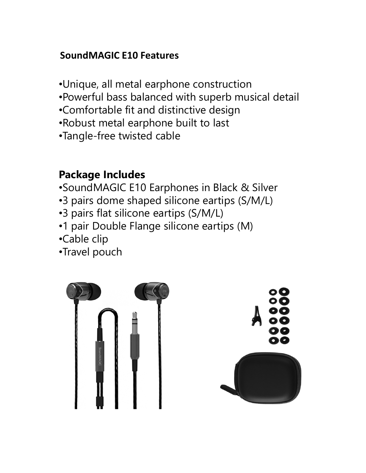## **SoundMAGIC E10 Features**

- •Unique, all metal earphone construction
- •Powerful bass balanced with superb musical detail
- •Comfortable fit and distinctive design
- •Robust metal earphone built to last
- •Tangle-free twisted cable

# **Package Includes**

- •SoundMAGIC E10 Earphones in Black & Silver
- •3 pairs dome shaped silicone eartips (S/M/L)
- •3 pairs flat silicone eartips (S/M/L)
- •1 pair Double Flange silicone eartips (M)
- •Cable clip
- •Travel pouch